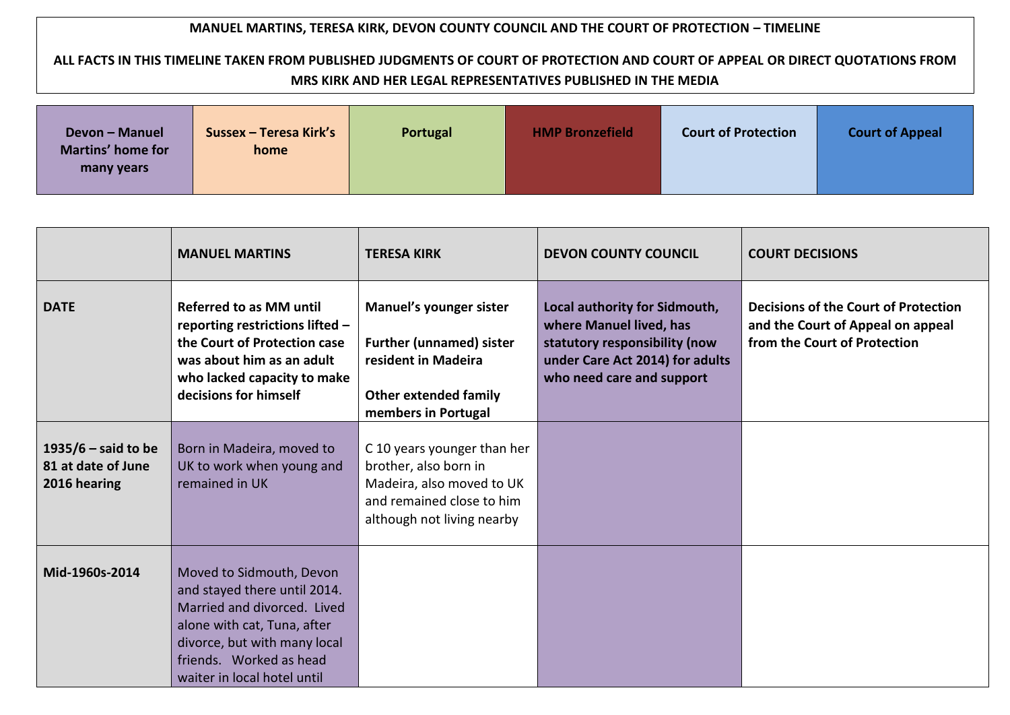## **MANUEL MARTINS, TERESA KIRK, DEVON COUNTY COUNCIL AND THE COURT OF PROTECTION – TIMELINE**

## **ALL FACTS IN THIS TIMELINE TAKEN FROM PUBLISHED JUDGMENTS OF COURT OF PROTECTION AND COURT OF APPEAL OR DIRECT QUOTATIONS FROM MRS KIRK AND HER LEGAL REPRESENTATIVES PUBLISHED IN THE MEDIA**

| <b>Devon - Manuel</b><br><b>Martins' home for</b><br>many years | Sussex - Teresa Kirk's<br>home | Portugal | <b>HMP Bronzefield</b> | <b>Court of Protection</b> | <b>Court of Appeal</b> |
|-----------------------------------------------------------------|--------------------------------|----------|------------------------|----------------------------|------------------------|
|                                                                 |                                |          |                        |                            |                        |

|                                                             | <b>MANUEL MARTINS</b>                                                                                                                                                                                            | <b>TERESA KIRK</b>                                                                                                                           | <b>DEVON COUNTY COUNCIL</b>                                                                                                                               | <b>COURT DECISIONS</b>                                                                                           |
|-------------------------------------------------------------|------------------------------------------------------------------------------------------------------------------------------------------------------------------------------------------------------------------|----------------------------------------------------------------------------------------------------------------------------------------------|-----------------------------------------------------------------------------------------------------------------------------------------------------------|------------------------------------------------------------------------------------------------------------------|
| <b>DATE</b>                                                 | <b>Referred to as MM until</b><br>reporting restrictions lifted -<br>the Court of Protection case<br>was about him as an adult<br>who lacked capacity to make<br>decisions for himself                           | Manuel's younger sister<br><b>Further (unnamed) sister</b><br>resident in Madeira<br><b>Other extended family</b><br>members in Portugal     | Local authority for Sidmouth,<br>where Manuel lived, has<br>statutory responsibility (now<br>under Care Act 2014) for adults<br>who need care and support | <b>Decisions of the Court of Protection</b><br>and the Court of Appeal on appeal<br>from the Court of Protection |
| 1935/6 $-$ said to be<br>81 at date of June<br>2016 hearing | Born in Madeira, moved to<br>UK to work when young and<br>remained in UK                                                                                                                                         | C 10 years younger than her<br>brother, also born in<br>Madeira, also moved to UK<br>and remained close to him<br>although not living nearby |                                                                                                                                                           |                                                                                                                  |
| Mid-1960s-2014                                              | Moved to Sidmouth, Devon<br>and stayed there until 2014.<br>Married and divorced. Lived<br>alone with cat, Tuna, after<br>divorce, but with many local<br>friends. Worked as head<br>waiter in local hotel until |                                                                                                                                              |                                                                                                                                                           |                                                                                                                  |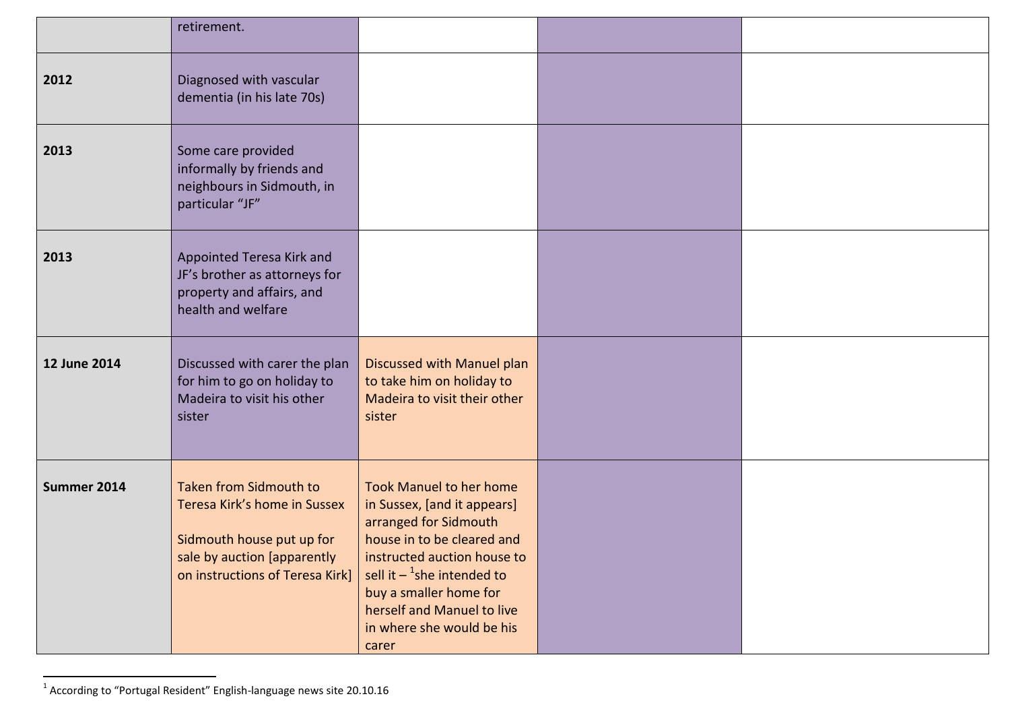|              | retirement.                                                                                                                                           |                                                                                                                                                                                                                                                                                               |  |
|--------------|-------------------------------------------------------------------------------------------------------------------------------------------------------|-----------------------------------------------------------------------------------------------------------------------------------------------------------------------------------------------------------------------------------------------------------------------------------------------|--|
| 2012         | Diagnosed with vascular<br>dementia (in his late 70s)                                                                                                 |                                                                                                                                                                                                                                                                                               |  |
| 2013         | Some care provided<br>informally by friends and<br>neighbours in Sidmouth, in<br>particular "JF"                                                      |                                                                                                                                                                                                                                                                                               |  |
| 2013         | Appointed Teresa Kirk and<br>JF's brother as attorneys for<br>property and affairs, and<br>health and welfare                                         |                                                                                                                                                                                                                                                                                               |  |
| 12 June 2014 | Discussed with carer the plan<br>for him to go on holiday to<br>Madeira to visit his other<br>sister                                                  | Discussed with Manuel plan<br>to take him on holiday to<br>Madeira to visit their other<br>sister                                                                                                                                                                                             |  |
| Summer 2014  | Taken from Sidmouth to<br>Teresa Kirk's home in Sussex<br>Sidmouth house put up for<br>sale by auction [apparently<br>on instructions of Teresa Kirk] | <b>Took Manuel to her home</b><br>in Sussex, [and it appears]<br>arranged for Sidmouth<br>house in to be cleared and<br>instructed auction house to<br>sell it $-$ <sup>1</sup> she intended to<br>buy a smaller home for<br>herself and Manuel to live<br>in where she would be his<br>carer |  |

 1 According to "Portugal Resident" English-language news site 20.10.16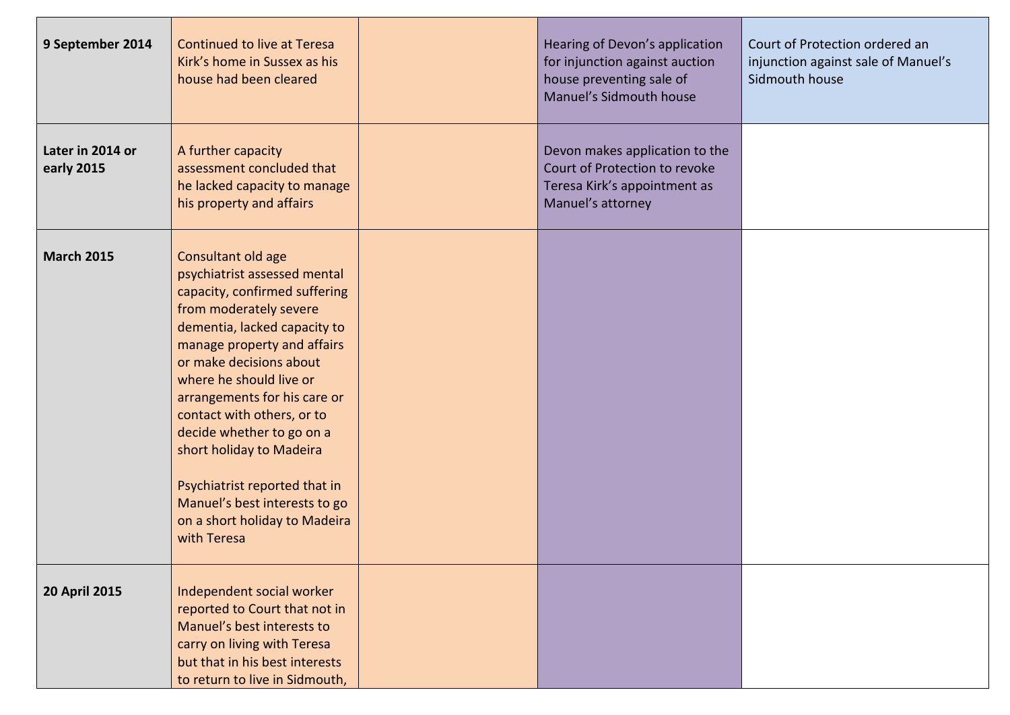| 9 September 2014               | <b>Continued to live at Teresa</b><br>Kirk's home in Sussex as his<br>house had been cleared                                                                                                                                                                                                                                                                                                                                                                                | Hearing of Devon's application<br>for injunction against auction<br>house preventing sale of<br>Manuel's Sidmouth house | Court of Protection ordered an<br>injunction against sale of Manuel's<br>Sidmouth house |
|--------------------------------|-----------------------------------------------------------------------------------------------------------------------------------------------------------------------------------------------------------------------------------------------------------------------------------------------------------------------------------------------------------------------------------------------------------------------------------------------------------------------------|-------------------------------------------------------------------------------------------------------------------------|-----------------------------------------------------------------------------------------|
| Later in 2014 or<br>early 2015 | A further capacity<br>assessment concluded that<br>he lacked capacity to manage<br>his property and affairs                                                                                                                                                                                                                                                                                                                                                                 | Devon makes application to the<br>Court of Protection to revoke<br>Teresa Kirk's appointment as<br>Manuel's attorney    |                                                                                         |
| <b>March 2015</b>              | Consultant old age<br>psychiatrist assessed mental<br>capacity, confirmed suffering<br>from moderately severe<br>dementia, lacked capacity to<br>manage property and affairs<br>or make decisions about<br>where he should live or<br>arrangements for his care or<br>contact with others, or to<br>decide whether to go on a<br>short holiday to Madeira<br>Psychiatrist reported that in<br>Manuel's best interests to go<br>on a short holiday to Madeira<br>with Teresa |                                                                                                                         |                                                                                         |
| <b>20 April 2015</b>           | Independent social worker<br>reported to Court that not in<br>Manuel's best interests to<br>carry on living with Teresa<br>but that in his best interests<br>to return to live in Sidmouth,                                                                                                                                                                                                                                                                                 |                                                                                                                         |                                                                                         |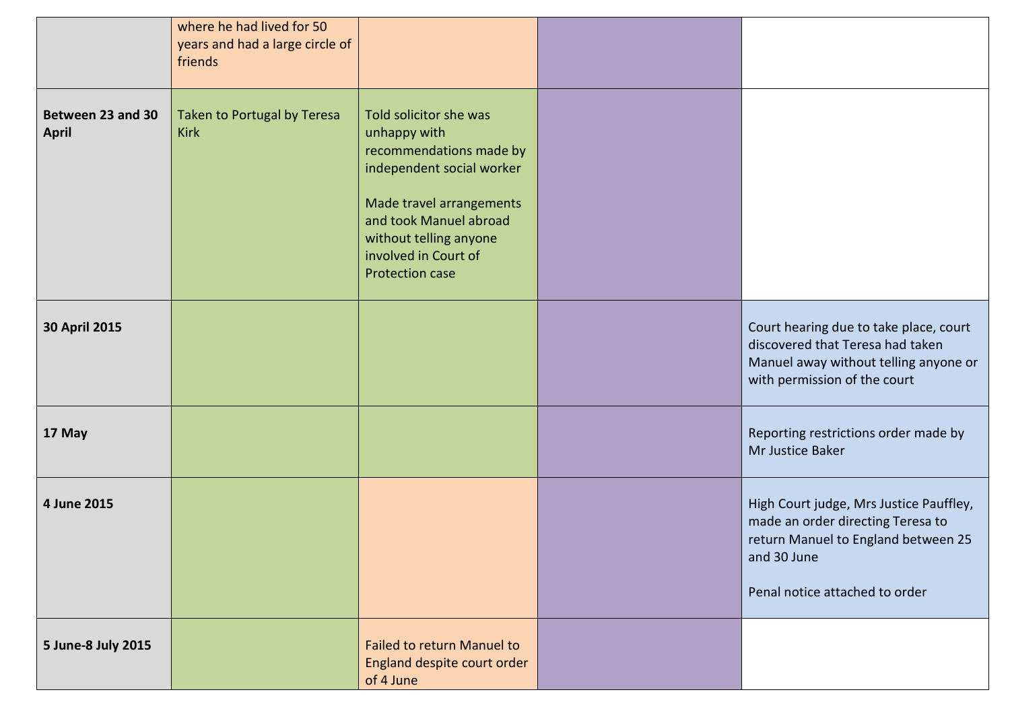|                                   | where he had lived for 50<br>years and had a large circle of<br>friends |                                                                                                                                                                                                                                  |                                                                                                                                                                      |
|-----------------------------------|-------------------------------------------------------------------------|----------------------------------------------------------------------------------------------------------------------------------------------------------------------------------------------------------------------------------|----------------------------------------------------------------------------------------------------------------------------------------------------------------------|
| Between 23 and 30<br><b>April</b> | Taken to Portugal by Teresa<br><b>Kirk</b>                              | Told solicitor she was<br>unhappy with<br>recommendations made by<br>independent social worker<br>Made travel arrangements<br>and took Manuel abroad<br>without telling anyone<br>involved in Court of<br><b>Protection case</b> |                                                                                                                                                                      |
| 30 April 2015                     |                                                                         |                                                                                                                                                                                                                                  | Court hearing due to take place, court<br>discovered that Teresa had taken<br>Manuel away without telling anyone or<br>with permission of the court                  |
| 17 May                            |                                                                         |                                                                                                                                                                                                                                  | Reporting restrictions order made by<br>Mr Justice Baker                                                                                                             |
| 4 June 2015                       |                                                                         |                                                                                                                                                                                                                                  | High Court judge, Mrs Justice Pauffley,<br>made an order directing Teresa to<br>return Manuel to England between 25<br>and 30 June<br>Penal notice attached to order |
| 5 June-8 July 2015                |                                                                         | <b>Failed to return Manuel to</b><br>England despite court order<br>of 4 June                                                                                                                                                    |                                                                                                                                                                      |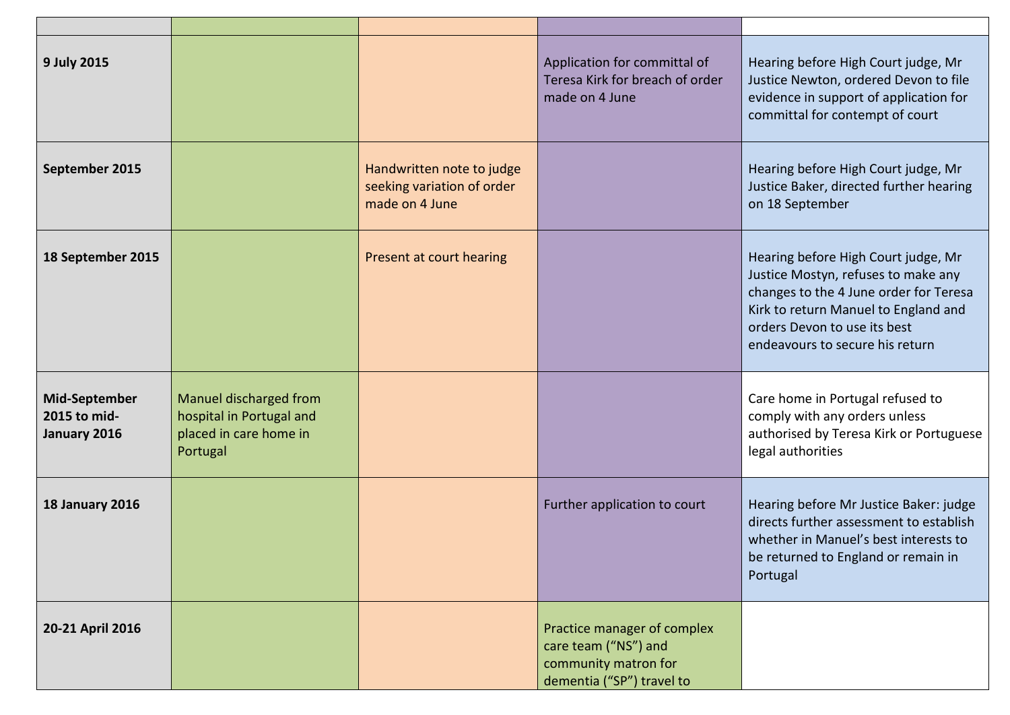| 9 July 2015                                          |                                                                                          |                                                                           | Application for committal of<br>Teresa Kirk for breach of order<br>made on 4 June                        | Hearing before High Court judge, Mr<br>Justice Newton, ordered Devon to file<br>evidence in support of application for<br>committal for contempt of court                                                                       |
|------------------------------------------------------|------------------------------------------------------------------------------------------|---------------------------------------------------------------------------|----------------------------------------------------------------------------------------------------------|---------------------------------------------------------------------------------------------------------------------------------------------------------------------------------------------------------------------------------|
| September 2015                                       |                                                                                          | Handwritten note to judge<br>seeking variation of order<br>made on 4 June |                                                                                                          | Hearing before High Court judge, Mr<br>Justice Baker, directed further hearing<br>on 18 September                                                                                                                               |
| 18 September 2015                                    |                                                                                          | Present at court hearing                                                  |                                                                                                          | Hearing before High Court judge, Mr<br>Justice Mostyn, refuses to make any<br>changes to the 4 June order for Teresa<br>Kirk to return Manuel to England and<br>orders Devon to use its best<br>endeavours to secure his return |
| <b>Mid-September</b><br>2015 to mid-<br>January 2016 | Manuel discharged from<br>hospital in Portugal and<br>placed in care home in<br>Portugal |                                                                           |                                                                                                          | Care home in Portugal refused to<br>comply with any orders unless<br>authorised by Teresa Kirk or Portuguese<br>legal authorities                                                                                               |
| <b>18 January 2016</b>                               |                                                                                          |                                                                           | Further application to court                                                                             | Hearing before Mr Justice Baker: judge<br>directs further assessment to establish<br>whether in Manuel's best interests to<br>be returned to England or remain in<br>Portugal                                                   |
| 20-21 April 2016                                     |                                                                                          |                                                                           | Practice manager of complex<br>care team ("NS") and<br>community matron for<br>dementia ("SP") travel to |                                                                                                                                                                                                                                 |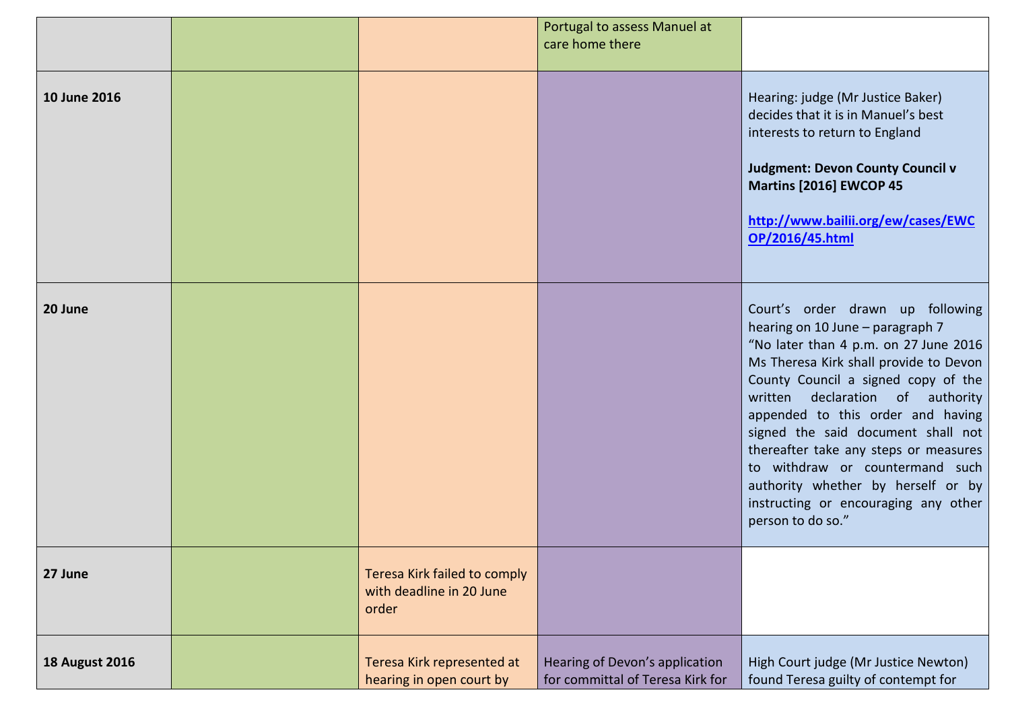|                       |                                                                   | Portugal to assess Manuel at                                       |                                                                                                                                                                                                                                                                                                                                                                                                                                                                                              |
|-----------------------|-------------------------------------------------------------------|--------------------------------------------------------------------|----------------------------------------------------------------------------------------------------------------------------------------------------------------------------------------------------------------------------------------------------------------------------------------------------------------------------------------------------------------------------------------------------------------------------------------------------------------------------------------------|
|                       |                                                                   | care home there                                                    |                                                                                                                                                                                                                                                                                                                                                                                                                                                                                              |
|                       |                                                                   |                                                                    |                                                                                                                                                                                                                                                                                                                                                                                                                                                                                              |
| 10 June 2016          |                                                                   |                                                                    | Hearing: judge (Mr Justice Baker)<br>decides that it is in Manuel's best<br>interests to return to England<br><b>Judgment: Devon County Council v</b><br>Martins [2016] EWCOP 45<br>http://www.bailii.org/ew/cases/EWC<br>OP/2016/45.html                                                                                                                                                                                                                                                    |
| 20 June               |                                                                   |                                                                    | Court's order drawn up following<br>hearing on 10 June - paragraph 7<br>"No later than 4 p.m. on 27 June 2016<br>Ms Theresa Kirk shall provide to Devon<br>County Council a signed copy of the<br>written declaration of authority<br>appended to this order and having<br>signed the said document shall not<br>thereafter take any steps or measures<br>to withdraw or countermand such<br>authority whether by herself or by<br>instructing or encouraging any other<br>person to do so." |
| 27 June               | Teresa Kirk failed to comply<br>with deadline in 20 June<br>order |                                                                    |                                                                                                                                                                                                                                                                                                                                                                                                                                                                                              |
| <b>18 August 2016</b> | Teresa Kirk represented at<br>hearing in open court by            | Hearing of Devon's application<br>for committal of Teresa Kirk for | High Court judge (Mr Justice Newton)<br>found Teresa guilty of contempt for                                                                                                                                                                                                                                                                                                                                                                                                                  |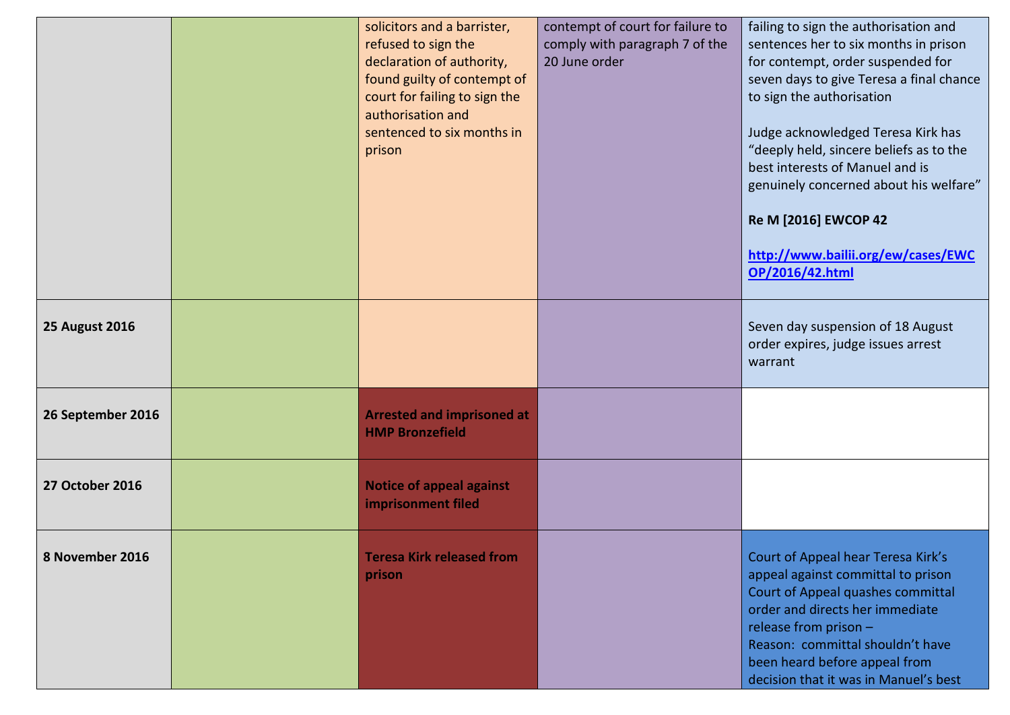|                       | solicitors and a barrister,<br>refused to sign the<br>declaration of authority,<br>found guilty of contempt of<br>court for failing to sign the<br>authorisation and<br>sentenced to six months in<br>prison | contempt of court for failure to<br>comply with paragraph 7 of the<br>20 June order | failing to sign the authorisation and<br>sentences her to six months in prison<br>for contempt, order suspended for<br>seven days to give Teresa a final chance<br>to sign the authorisation<br>Judge acknowledged Teresa Kirk has<br>"deeply held, sincere beliefs as to the<br>best interests of Manuel and is<br>genuinely concerned about his welfare"<br>Re M [2016] EWCOP 42<br>http://www.bailii.org/ew/cases/EWC<br>OP/2016/42.html |
|-----------------------|--------------------------------------------------------------------------------------------------------------------------------------------------------------------------------------------------------------|-------------------------------------------------------------------------------------|---------------------------------------------------------------------------------------------------------------------------------------------------------------------------------------------------------------------------------------------------------------------------------------------------------------------------------------------------------------------------------------------------------------------------------------------|
| <b>25 August 2016</b> |                                                                                                                                                                                                              |                                                                                     | Seven day suspension of 18 August<br>order expires, judge issues arrest<br>warrant                                                                                                                                                                                                                                                                                                                                                          |
| 26 September 2016     | <b>Arrested and imprisoned at</b><br><b>HMP Bronzefield</b>                                                                                                                                                  |                                                                                     |                                                                                                                                                                                                                                                                                                                                                                                                                                             |
| 27 October 2016       | <b>Notice of appeal against</b><br>imprisonment filed                                                                                                                                                        |                                                                                     |                                                                                                                                                                                                                                                                                                                                                                                                                                             |
| 8 November 2016       | <b>Teresa Kirk released from</b><br>prison                                                                                                                                                                   |                                                                                     | Court of Appeal hear Teresa Kirk's<br>appeal against committal to prison<br>Court of Appeal quashes committal<br>order and directs her immediate<br>release from prison -<br>Reason: committal shouldn't have<br>been heard before appeal from<br>decision that it was in Manuel's best                                                                                                                                                     |